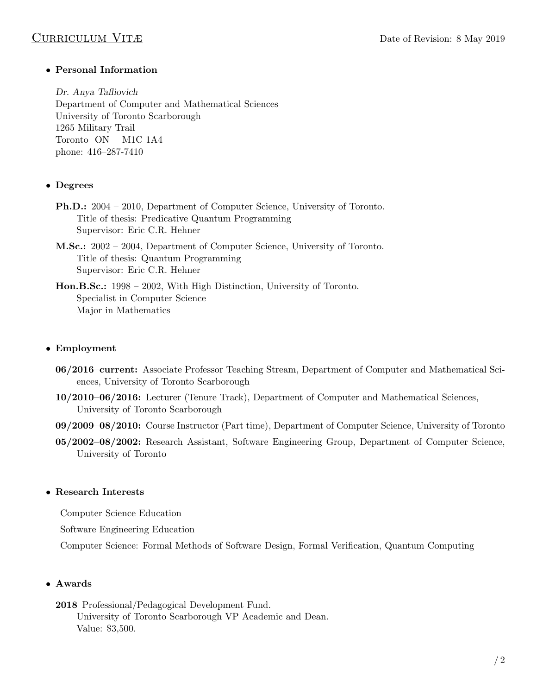### • Personal Information

Dr. Anya Tafliovich Department of Computer and Mathematical Sciences University of Toronto Scarborough 1265 Military Trail Toronto ON M1C 1A4 phone: 416–287-7410

### • Degrees

- Ph.D.: 2004 2010, Department of Computer Science, University of Toronto. Title of thesis: Predicative Quantum Programming Supervisor: Eric C.R. Hehner
- M.Sc.: 2002 2004, Department of Computer Science, University of Toronto. Title of thesis: Quantum Programming Supervisor: Eric C.R. Hehner
- Hon.B.Sc.: 1998 2002, With High Distinction, University of Toronto. Specialist in Computer Science Major in Mathematics

# • Employment

- 06/2016–current: Associate Professor Teaching Stream, Department of Computer and Mathematical Sciences, University of Toronto Scarborough
- 10/2010–06/2016: Lecturer (Tenure Track), Department of Computer and Mathematical Sciences, University of Toronto Scarborough
- 09/2009–08/2010: Course Instructor (Part time), Department of Computer Science, University of Toronto
- 05/2002–08/2002: Research Assistant, Software Engineering Group, Department of Computer Science, University of Toronto

### • Research Interests

Computer Science Education

Software Engineering Education

Computer Science: Formal Methods of Software Design, Formal Verification, Quantum Computing

### • Awards

2018 Professional/Pedagogical Development Fund.

University of Toronto Scarborough VP Academic and Dean. Value: \$3,500.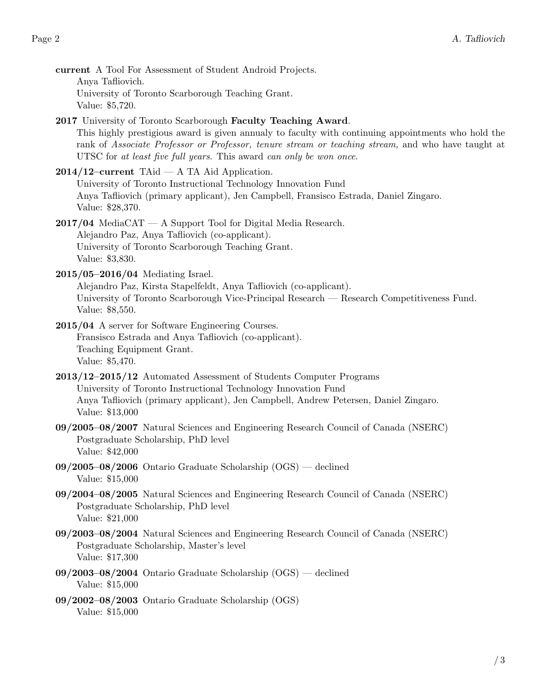- current A Tool For Assessment of Student Android Projects. Anya Tafliovich. University of Toronto Scarborough Teaching Grant. Value: \$5,720.
- 2017 University of Toronto Scarborough Faculty Teaching Award. This highly prestigious award is given annualy to faculty with continuing appointments who hold the rank of Associate Professor or Professor, tenure stream or teaching stream, and who have taught at UTSC for at least five full years. This award can only be won once.
- $2014/12$ –current TAid A TA Aid Application. University of Toronto Instructional Technology Innovation Fund Anya Tafliovich (primary applicant), Jen Campbell, Fransisco Estrada, Daniel Zingaro. Value: \$28,370.
- $2017/04$  MediaCAT A Support Tool for Digital Media Research. Alejandro Paz, Anya Tafliovich (co-applicant). University of Toronto Scarborough Teaching Grant. Value: \$3,830.
- 2015/05–2016/04 Mediating Israel.

Alejandro Paz, Kirsta Stapelfeldt, Anya Tafliovich (co-applicant). University of Toronto Scarborough Vice-Principal Research — Research Competitiveness Fund. Value: \$8,550.

- 2015/04 A server for Software Engineering Courses. Fransisco Estrada and Anya Tafliovich (co-applicant). Teaching Equipment Grant. Value: \$5,470.
- 2013/12–2015/12 Automated Assessment of Students Computer Programs University of Toronto Instructional Technology Innovation Fund Anya Tafliovich (primary applicant), Jen Campbell, Andrew Petersen, Daniel Zingaro. Value: \$13,000
- 09/2005–08/2007 Natural Sciences and Engineering Research Council of Canada (NSERC) Postgraduate Scholarship, PhD level Value: \$42,000
- 09/2005–08/2006 Ontario Graduate Scholarship (OGS) declined Value: \$15,000
- 09/2004–08/2005 Natural Sciences and Engineering Research Council of Canada (NSERC) Postgraduate Scholarship, PhD level Value: \$21,000
- 09/2003–08/2004 Natural Sciences and Engineering Research Council of Canada (NSERC) Postgraduate Scholarship, Master's level Value: \$17,300
- 09/2003–08/2004 Ontario Graduate Scholarship (OGS) declined Value: \$15,000
- 09/2002–08/2003 Ontario Graduate Scholarship (OGS) Value: \$15,000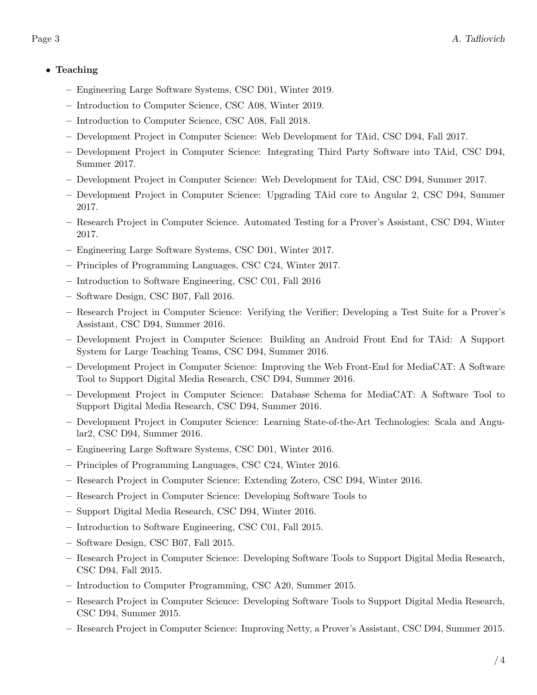# • Teaching

- Engineering Large Software Systems, CSC D01, Winter 2019.
- Introduction to Computer Science, CSC A08, Winter 2019.
- Introduction to Computer Science, CSC A08, Fall 2018.
- Development Project in Computer Science: Web Development for TAid, CSC D94, Fall 2017.
- Development Project in Computer Science: Integrating Third Party Software into TAid, CSC D94, Summer 2017.
- Development Project in Computer Science: Web Development for TAid, CSC D94, Summer 2017.
- Development Project in Computer Science: Upgrading TAid core to Angular 2, CSC D94, Summer 2017.
- Research Project in Computer Science. Automated Testing for a Prover's Assistant, CSC D94, Winter 2017.
- Engineering Large Software Systems, CSC D01, Winter 2017.
- Principles of Programming Languages, CSC C24, Winter 2017.
- Introduction to Software Engineering, CSC C01, Fall 2016
- Software Design, CSC B07, Fall 2016.
- Research Project in Computer Science: Verifying the Verifier; Developing a Test Suite for a Prover's Assistant, CSC D94, Summer 2016.
- Development Project in Computer Science: Building an Android Front End for TAid: A Support System for Large Teaching Teams, CSC D94, Summer 2016.
- Development Project in Computer Science: Improving the Web Front-End for MediaCAT: A Software Tool to Support Digital Media Research, CSC D94, Summer 2016.
- Development Project in Computer Science: Database Schema for MediaCAT: A Software Tool to Support Digital Media Research, CSC D94, Summer 2016.
- Development Project in Computer Science: Learning State-of-the-Art Technologies: Scala and Angular2, CSC D94, Summer 2016.
- Engineering Large Software Systems, CSC D01, Winter 2016.
- Principles of Programming Languages, CSC C24, Winter 2016.
- Research Project in Computer Science: Extending Zotero, CSC D94, Winter 2016.
- Research Project in Computer Science: Developing Software Tools to
- Support Digital Media Research, CSC D94, Winter 2016.
- Introduction to Software Engineering, CSC C01, Fall 2015.
- Software Design, CSC B07, Fall 2015.
- Research Project in Computer Science: Developing Software Tools to Support Digital Media Research, CSC D94, Fall 2015.
- Introduction to Computer Programming, CSC A20, Summer 2015.
- Research Project in Computer Science: Developing Software Tools to Support Digital Media Research, CSC D94, Summer 2015.
- Research Project in Computer Science: Improving Netty, a Prover's Assistant, CSC D94, Summer 2015.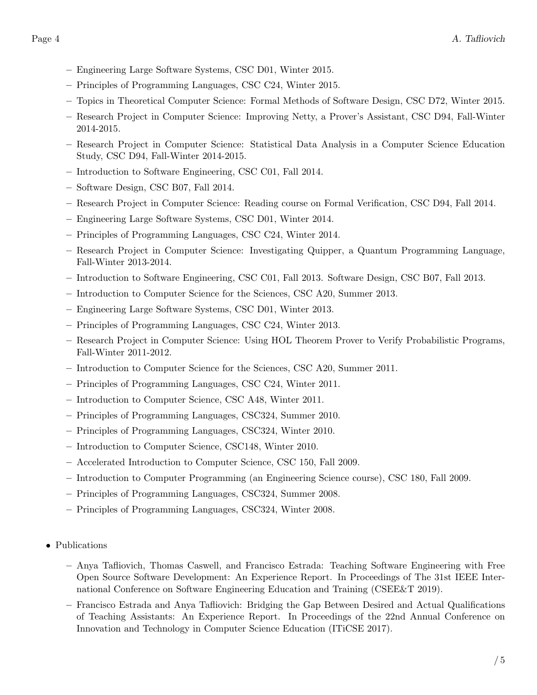- Engineering Large Software Systems, CSC D01, Winter 2015.
- Principles of Programming Languages, CSC C24, Winter 2015.
- Topics in Theoretical Computer Science: Formal Methods of Software Design, CSC D72, Winter 2015.
- Research Project in Computer Science: Improving Netty, a Prover's Assistant, CSC D94, Fall-Winter 2014-2015.
- Research Project in Computer Science: Statistical Data Analysis in a Computer Science Education Study, CSC D94, Fall-Winter 2014-2015.
- Introduction to Software Engineering, CSC C01, Fall 2014.
- Software Design, CSC B07, Fall 2014.
- Research Project in Computer Science: Reading course on Formal Verification, CSC D94, Fall 2014.
- Engineering Large Software Systems, CSC D01, Winter 2014.
- Principles of Programming Languages, CSC C24, Winter 2014.
- Research Project in Computer Science: Investigating Quipper, a Quantum Programming Language, Fall-Winter 2013-2014.
- Introduction to Software Engineering, CSC C01, Fall 2013. Software Design, CSC B07, Fall 2013.
- Introduction to Computer Science for the Sciences, CSC A20, Summer 2013.
- Engineering Large Software Systems, CSC D01, Winter 2013.
- Principles of Programming Languages, CSC C24, Winter 2013.
- Research Project in Computer Science: Using HOL Theorem Prover to Verify Probabilistic Programs, Fall-Winter 2011-2012.
- Introduction to Computer Science for the Sciences, CSC A20, Summer 2011.
- Principles of Programming Languages, CSC C24, Winter 2011.
- Introduction to Computer Science, CSC A48, Winter 2011.
- Principles of Programming Languages, CSC324, Summer 2010.
- Principles of Programming Languages, CSC324, Winter 2010.
- Introduction to Computer Science, CSC148, Winter 2010.
- Accelerated Introduction to Computer Science, CSC 150, Fall 2009.
- Introduction to Computer Programming (an Engineering Science course), CSC 180, Fall 2009.
- Principles of Programming Languages, CSC324, Summer 2008.
- Principles of Programming Languages, CSC324, Winter 2008.
- Publications
	- Anya Tafliovich, Thomas Caswell, and Francisco Estrada: Teaching Software Engineering with Free Open Source Software Development: An Experience Report. In Proceedings of The 31st IEEE International Conference on Software Engineering Education and Training (CSEE&T 2019).
	- Francisco Estrada and Anya Tafliovich: Bridging the Gap Between Desired and Actual Qualifications of Teaching Assistants: An Experience Report. In Proceedings of the 22nd Annual Conference on Innovation and Technology in Computer Science Education (ITiCSE 2017).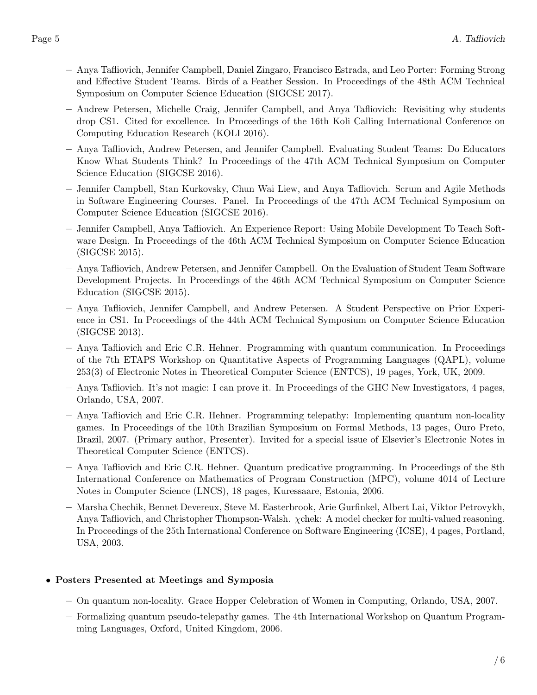- Anya Tafliovich, Jennifer Campbell, Daniel Zingaro, Francisco Estrada, and Leo Porter: Forming Strong and Effective Student Teams. Birds of a Feather Session. In Proceedings of the 48th ACM Technical Symposium on Computer Science Education (SIGCSE 2017).
- Andrew Petersen, Michelle Craig, Jennifer Campbell, and Anya Tafliovich: Revisiting why students drop CS1. Cited for excellence. In Proceedings of the 16th Koli Calling International Conference on Computing Education Research (KOLI 2016).
- Anya Tafliovich, Andrew Petersen, and Jennifer Campbell. Evaluating Student Teams: Do Educators Know What Students Think? In Proceedings of the 47th ACM Technical Symposium on Computer Science Education (SIGCSE 2016).
- Jennifer Campbell, Stan Kurkovsky, Chun Wai Liew, and Anya Tafliovich. Scrum and Agile Methods in Software Engineering Courses. Panel. In Proceedings of the 47th ACM Technical Symposium on Computer Science Education (SIGCSE 2016).
- Jennifer Campbell, Anya Tafliovich. An Experience Report: Using Mobile Development To Teach Software Design. In Proceedings of the 46th ACM Technical Symposium on Computer Science Education (SIGCSE 2015).
- Anya Tafliovich, Andrew Petersen, and Jennifer Campbell. On the Evaluation of Student Team Software Development Projects. In Proceedings of the 46th ACM Technical Symposium on Computer Science Education (SIGCSE 2015).
- Anya Tafliovich, Jennifer Campbell, and Andrew Petersen. A Student Perspective on Prior Experience in CS1. In Proceedings of the 44th ACM Technical Symposium on Computer Science Education (SIGCSE 2013).
- Anya Tafliovich and Eric C.R. Hehner. Programming with quantum communication. In Proceedings of the 7th ETAPS Workshop on Quantitative Aspects of Programming Languages (QAPL), volume 253(3) of Electronic Notes in Theoretical Computer Science (ENTCS), 19 pages, York, UK, 2009.
- Anya Tafliovich. It's not magic: I can prove it. In Proceedings of the GHC New Investigators, 4 pages, Orlando, USA, 2007.
- Anya Tafliovich and Eric C.R. Hehner. Programming telepathy: Implementing quantum non-locality games. In Proceedings of the 10th Brazilian Symposium on Formal Methods, 13 pages, Ouro Preto, Brazil, 2007. (Primary author, Presenter). Invited for a special issue of Elsevier's Electronic Notes in Theoretical Computer Science (ENTCS).
- Anya Tafliovich and Eric C.R. Hehner. Quantum predicative programming. In Proceedings of the 8th International Conference on Mathematics of Program Construction (MPC), volume 4014 of Lecture Notes in Computer Science (LNCS), 18 pages, Kuressaare, Estonia, 2006.
- Marsha Chechik, Bennet Devereux, Steve M. Easterbrook, Arie Gurfinkel, Albert Lai, Viktor Petrovykh, Anya Tafliovich, and Christopher Thompson-Walsh. χchek: A model checker for multi-valued reasoning. In Proceedings of the 25th International Conference on Software Engineering (ICSE), 4 pages, Portland, USA, 2003.

### • Posters Presented at Meetings and Symposia

- On quantum non-locality. Grace Hopper Celebration of Women in Computing, Orlando, USA, 2007.
- Formalizing quantum pseudo-telepathy games. The 4th International Workshop on Quantum Programming Languages, Oxford, United Kingdom, 2006.